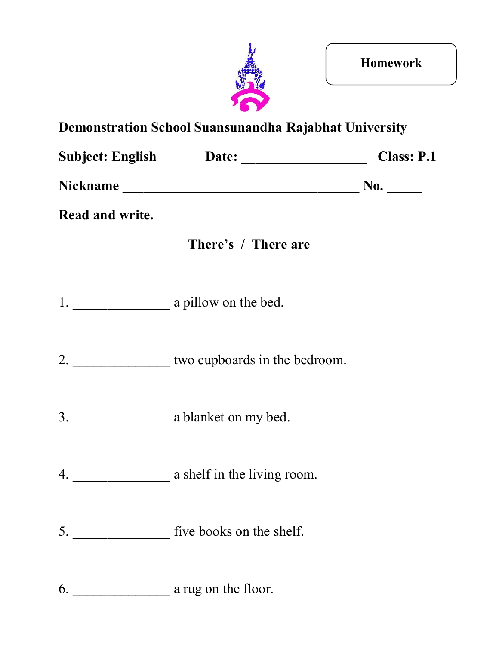

| <b>Subject: English</b> | Date: | <b>Class: P.1</b> |
|-------------------------|-------|-------------------|
| <b>Nickname</b>         |       | No.               |

**Read and write.**



- 2. \_\_\_\_\_\_\_\_\_\_\_\_\_\_\_\_\_\_ two cupboards in the bedroom.
- 3. \_\_\_\_\_\_\_\_\_\_\_\_\_\_ a blanket on my bed.
- 4. \_\_\_\_\_\_\_\_\_\_\_\_\_\_ a shelf in the living room.
- 5. \_\_\_\_\_\_\_\_\_\_\_\_\_\_ five books on the shelf.
- 6. \_\_\_\_\_\_\_\_\_\_\_\_\_\_ a rug on the floor.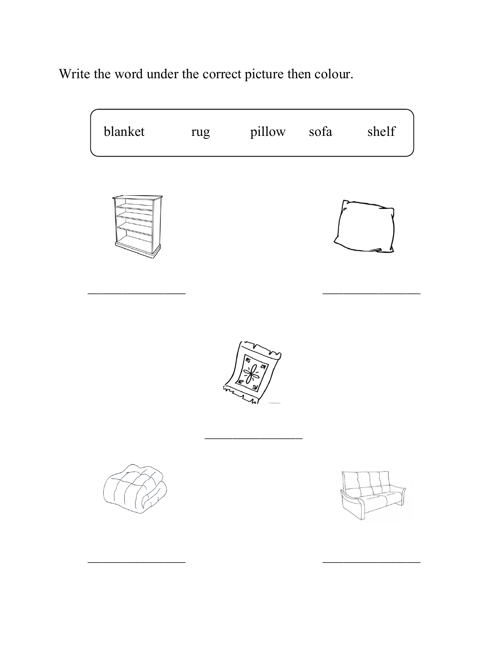Write the word under the correct picture then colour.

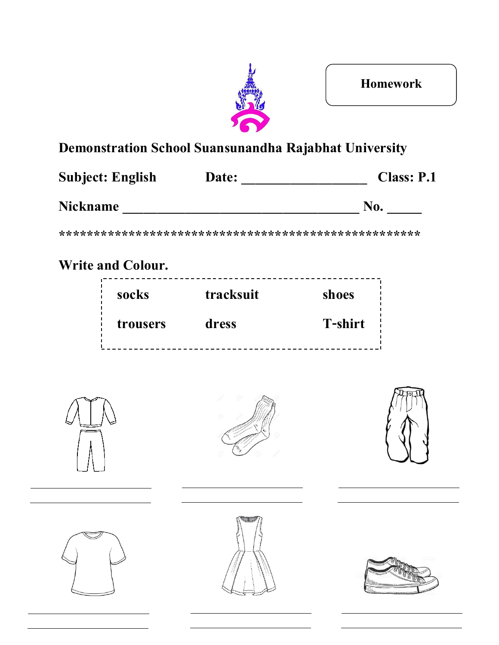

| <b>Subject: English</b> | Date: | <b>Class: P.1</b> |
|-------------------------|-------|-------------------|
| <b>Nickname</b>         |       | No.               |

## **Write and Colour.**

| socks    | tracksuit | shoes          |
|----------|-----------|----------------|
| trousers | dress     | <b>T-shirt</b> |







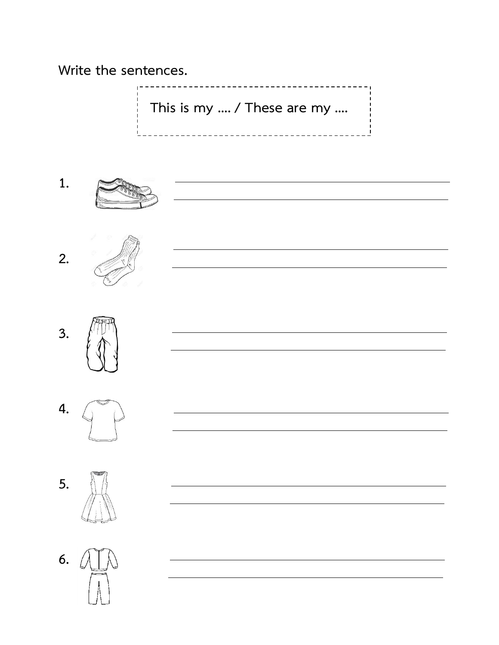**Write the sentences.**

**This is my …. / These are my ….**

<u> 1989 - Johann Barn, amerikansk politiker (d. 1989)</u>

<u> 1989 - Johann Stoff, deutscher Stoff, der Stoff, der Stoff, der Stoff, der Stoff, der Stoff, der Stoff, der S</u>

<u> 1980 - Johann Barbara, martxa alemaniar a</u>

<u> 1989 - Johann Stoff, deutscher Stoffen und der Stoffen und der Stoffen und der Stoffen und der Stoffen und der</u>

----------------------------------











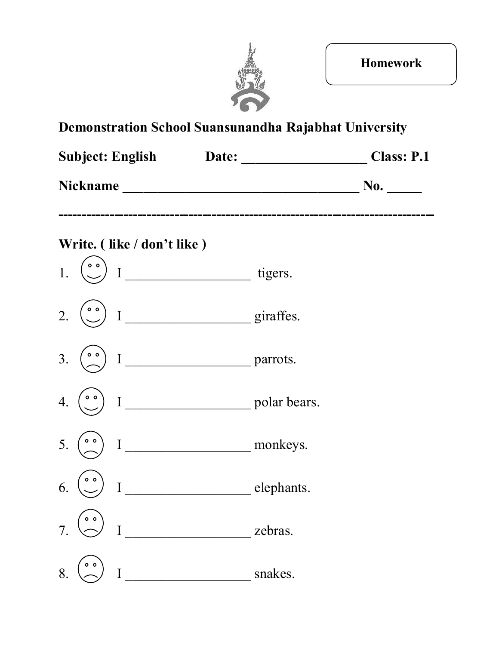

|                                      |                                                                                                                | <b>Class: P.1</b> |
|--------------------------------------|----------------------------------------------------------------------------------------------------------------|-------------------|
|                                      | Nickname Manuel And The Communication of the Communication of the Communication of the Communication of the Co | No.               |
| Write. (like / don't like)           |                                                                                                                |                   |
| $\circ$ $\circ$                      |                                                                                                                |                   |
| $^{\circ}$<br>2.                     | I giraffes.                                                                                                    |                   |
| $\circ$ $\circ$<br>3.                |                                                                                                                |                   |
| $\circ$ $\circ$<br>$\mathbf I$<br>4. | polar bears.                                                                                                   |                   |
| $\circ$ $\circ$<br>5.<br>$\mathbf I$ | monkeys.                                                                                                       |                   |
| $\circ$ $\circ$<br>6.<br>I           | elephants.                                                                                                     |                   |
| I                                    | zebras.                                                                                                        |                   |

8. I \_\_\_\_\_\_\_\_\_\_\_\_\_\_\_\_\_\_ snakes.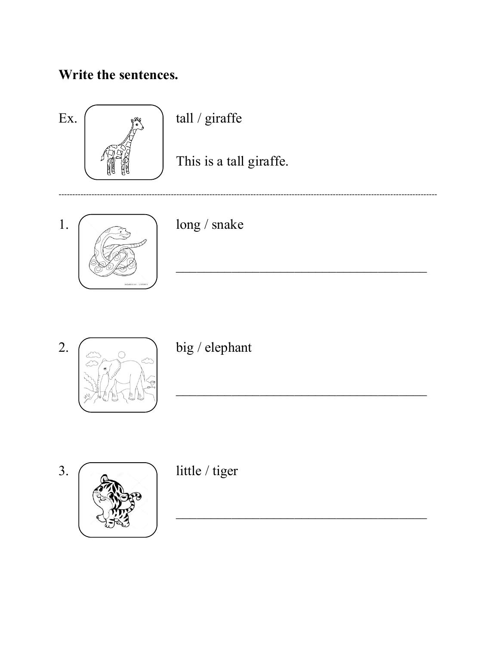### Write the sentences.





 $big/$ elephant



little / tiger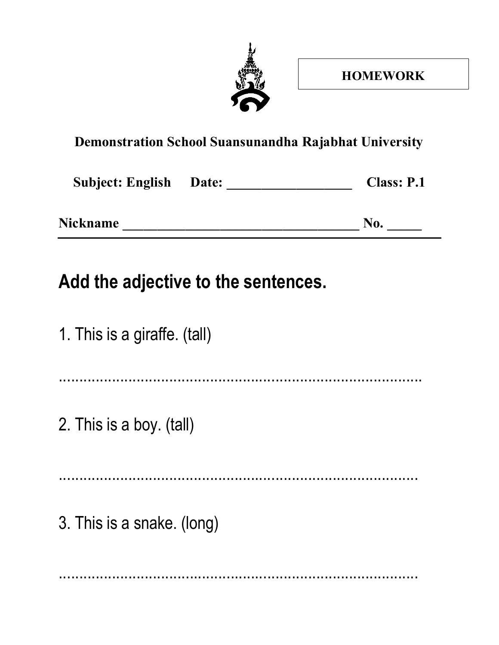

| <b>Subject: English Date:</b> | <b>Class: P.1</b> |
|-------------------------------|-------------------|
| <b>Nickname</b>               | No.               |

# **Add the adjective to the sentences.**

| 1. This is a giraffe. (tall) |
|------------------------------|
|                              |
| 2. This is a boy. (tall)     |
|                              |
| 3. This is a snake. (long)   |
|                              |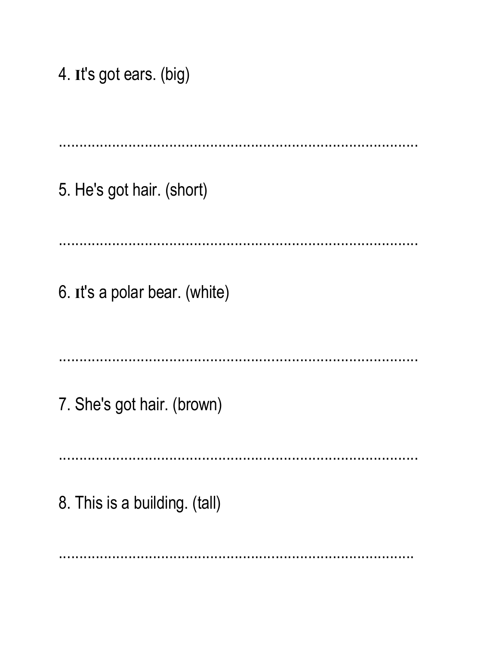4. It's got ears. (big)

5. He's got hair. (short) 6. It's a polar bear. (white) 7. She's got hair. (brown) 8. This is a building. (tall)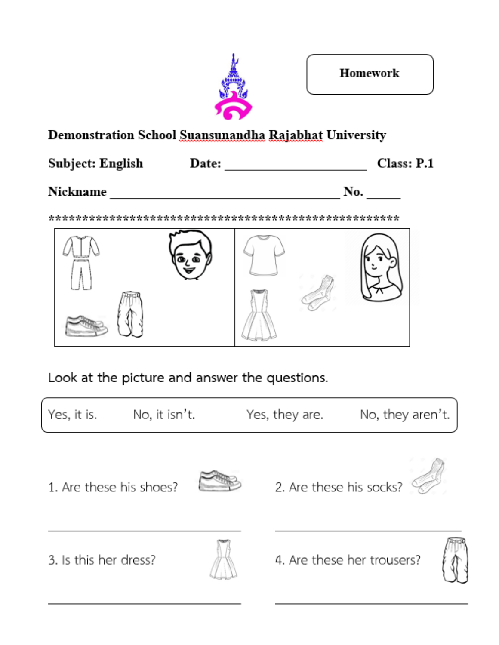

#### Subject: English

#### Nickname No.



Look at the picture and answer the questions.

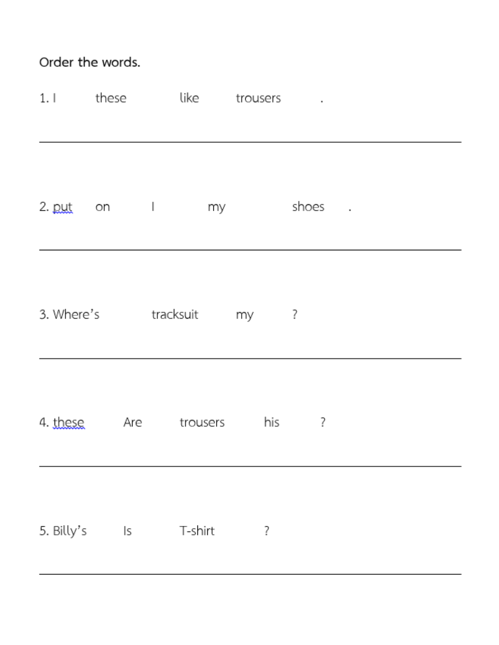### Order the words.

|            |    | 1. I these like trousers    |         |        | ä, |  |  |
|------------|----|-----------------------------|---------|--------|----|--|--|
|            |    | 2. put on I my              |         | shoes. |    |  |  |
|            |    | 3. Where's tracksuit my ?   |         |        |    |  |  |
|            |    | 4. these Are trousers his ? |         |        |    |  |  |
| 5. Billy's | ls |                             | T-shirt | ?      |    |  |  |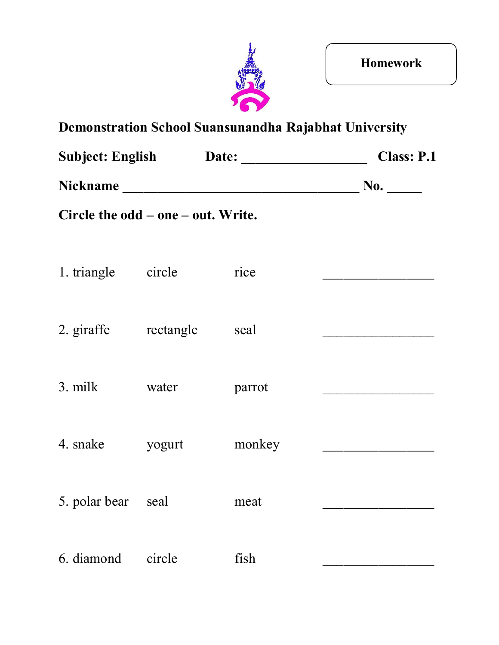

|                                    |        | <b>Subject: English Date:</b> | <b>Class: P.1</b> |
|------------------------------------|--------|-------------------------------|-------------------|
|                                    |        | No.                           |                   |
| Circle the odd – one – out. Write. |        |                               |                   |
|                                    |        |                               |                   |
| 1. triangle circle                 |        | rice                          |                   |
|                                    |        |                               |                   |
| 2. giraffe rectangle               |        | seal                          |                   |
|                                    |        |                               |                   |
| 3. milk                            | water  | parrot                        |                   |
| 4. snake                           | yogurt | monkey                        |                   |
|                                    |        |                               |                   |
| 5. polar bear seal                 |        | meat                          |                   |
|                                    |        |                               |                   |
| 6. diamond                         | circle | fish                          |                   |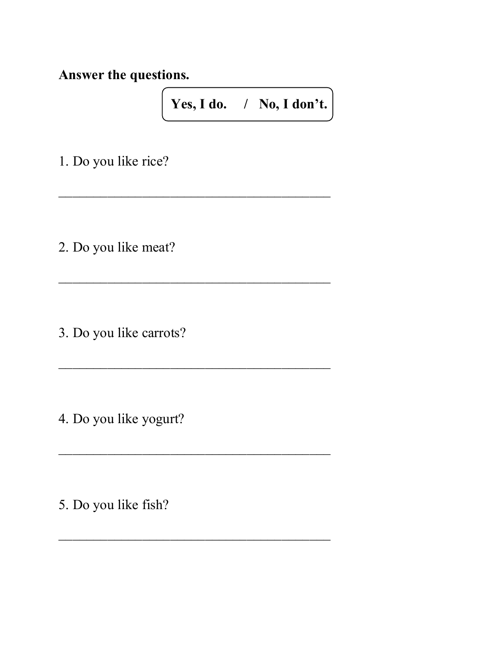**Answer the questions.**

**Yes, I do. / No, I don't.**

 $\overline{\phantom{a}}$  , where  $\overline{\phantom{a}}$  , where  $\overline{\phantom{a}}$  ,  $\overline{\phantom{a}}$  ,  $\overline{\phantom{a}}$  ,  $\overline{\phantom{a}}$  ,  $\overline{\phantom{a}}$  ,  $\overline{\phantom{a}}$  ,  $\overline{\phantom{a}}$  ,  $\overline{\phantom{a}}$  ,  $\overline{\phantom{a}}$  ,  $\overline{\phantom{a}}$  ,  $\overline{\phantom{a}}$  ,  $\overline{\phantom{a}}$  ,  $\overline{\phantom{a}}$  ,

 $\overline{\phantom{a}}$  , where  $\overline{\phantom{a}}$  , where  $\overline{\phantom{a}}$  ,  $\overline{\phantom{a}}$  ,  $\overline{\phantom{a}}$  ,  $\overline{\phantom{a}}$  ,  $\overline{\phantom{a}}$  ,  $\overline{\phantom{a}}$  ,  $\overline{\phantom{a}}$  ,  $\overline{\phantom{a}}$  ,  $\overline{\phantom{a}}$  ,  $\overline{\phantom{a}}$  ,  $\overline{\phantom{a}}$  ,  $\overline{\phantom{a}}$  ,  $\overline{\phantom{a}}$  ,

 $\overline{\phantom{a}}$  , where  $\overline{\phantom{a}}$  , where  $\overline{\phantom{a}}$  ,  $\overline{\phantom{a}}$  ,  $\overline{\phantom{a}}$  ,  $\overline{\phantom{a}}$  ,  $\overline{\phantom{a}}$  ,  $\overline{\phantom{a}}$  ,  $\overline{\phantom{a}}$  ,  $\overline{\phantom{a}}$  ,  $\overline{\phantom{a}}$  ,  $\overline{\phantom{a}}$  ,  $\overline{\phantom{a}}$  ,  $\overline{\phantom{a}}$  ,  $\overline{\phantom{a}}$  ,

 $\overline{\phantom{a}}$  , where  $\overline{\phantom{a}}$  , where  $\overline{\phantom{a}}$  ,  $\overline{\phantom{a}}$  ,  $\overline{\phantom{a}}$  ,  $\overline{\phantom{a}}$  ,  $\overline{\phantom{a}}$  ,  $\overline{\phantom{a}}$  ,  $\overline{\phantom{a}}$  ,  $\overline{\phantom{a}}$  ,  $\overline{\phantom{a}}$  ,  $\overline{\phantom{a}}$  ,  $\overline{\phantom{a}}$  ,  $\overline{\phantom{a}}$  ,  $\overline{\phantom{a}}$  ,

 $\overline{\phantom{a}}$  , where  $\overline{\phantom{a}}$  , where  $\overline{\phantom{a}}$  ,  $\overline{\phantom{a}}$  ,  $\overline{\phantom{a}}$  ,  $\overline{\phantom{a}}$  ,  $\overline{\phantom{a}}$  ,  $\overline{\phantom{a}}$  ,  $\overline{\phantom{a}}$  ,  $\overline{\phantom{a}}$  ,  $\overline{\phantom{a}}$  ,  $\overline{\phantom{a}}$  ,  $\overline{\phantom{a}}$  ,  $\overline{\phantom{a}}$  ,  $\overline{\phantom{a}}$  ,

1. Do you like rice?

2. Do you like meat?

3. Do you like carrots?

4. Do you like yogurt?

5. Do you like fish?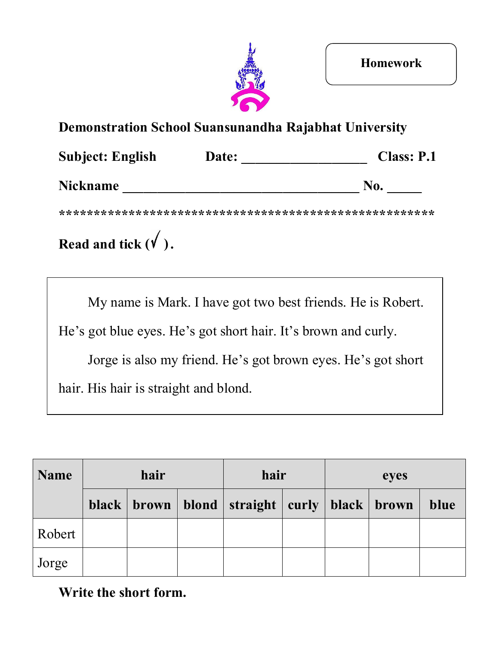

| <b>Subject: English</b> | Date: | <b>Class: P.1</b> |
|-------------------------|-------|-------------------|
| <b>Nickname</b>         |       | No.               |

**\*\*\*\*\*\*\*\*\*\*\*\*\*\*\*\*\*\*\*\*\*\*\*\*\*\*\*\*\*\*\*\*\*\*\*\*\*\*\*\*\*\*\*\*\*\*\*\*\*\*\*\*\*\***

# **Read and tick**  $(\sqrt{})$ **.**

My name is Mark. I have got two best friends. He is Robert.

He's got blue eyes. He's got short hair. It's brown and curly.

Jorge is also my friend. He's got brown eyes. He's got short

hair. His hair is straight and blond.

| <b>Name</b> | hair |  |  | hair                                                     |  | eyes |  |      |
|-------------|------|--|--|----------------------------------------------------------|--|------|--|------|
|             |      |  |  | black   brown   blond   straight   curly   black   brown |  |      |  | blue |
| Robert      |      |  |  |                                                          |  |      |  |      |
| Jorge       |      |  |  |                                                          |  |      |  |      |

#### **Write the short form.**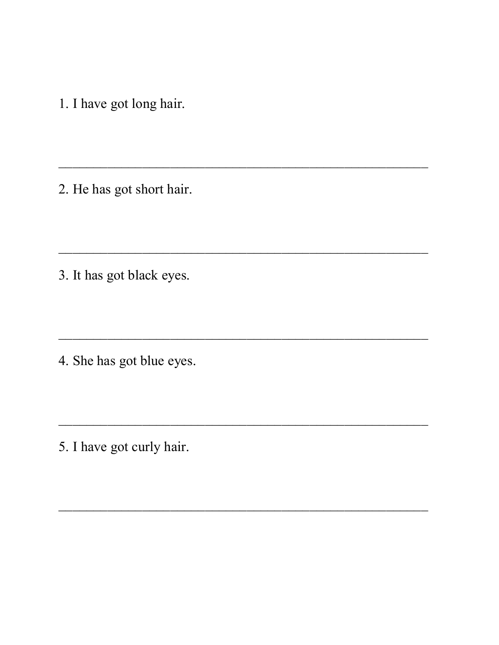1. I have got long hair.

2. He has got short hair.

3. It has got black eyes.

4. She has got blue eyes.

5. I have got curly hair.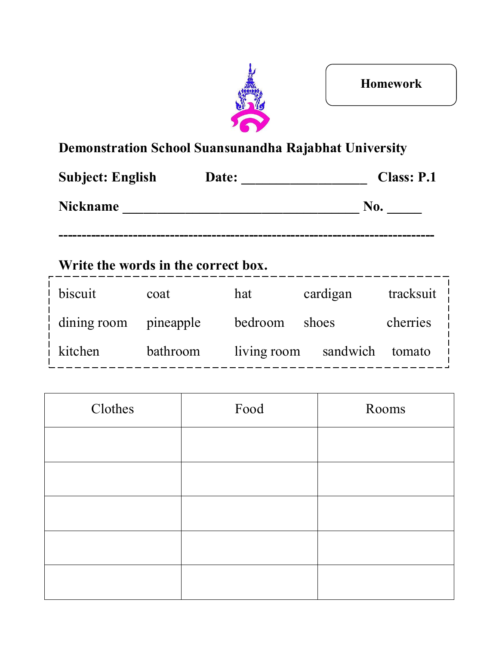

| Date: | <b>Class: P.1</b> |
|-------|-------------------|
|       | No.               |
|       |                   |

**---------------------------------------------------------------------------------**

### **Write the words in the correct box.**

| biscuit                   | coat      | hat         | cardigan        | tracksuit |
|---------------------------|-----------|-------------|-----------------|-----------|
| $\frac{1}{1}$ dining room | pineapple | bedroom     | shoes           | cherries  |
| $\frac{1}{2}$ kitchen     | bathroom  | living room | sandwich tomato |           |

| Clothes | Food | Rooms |
|---------|------|-------|
|         |      |       |
|         |      |       |
|         |      |       |
|         |      |       |
|         |      |       |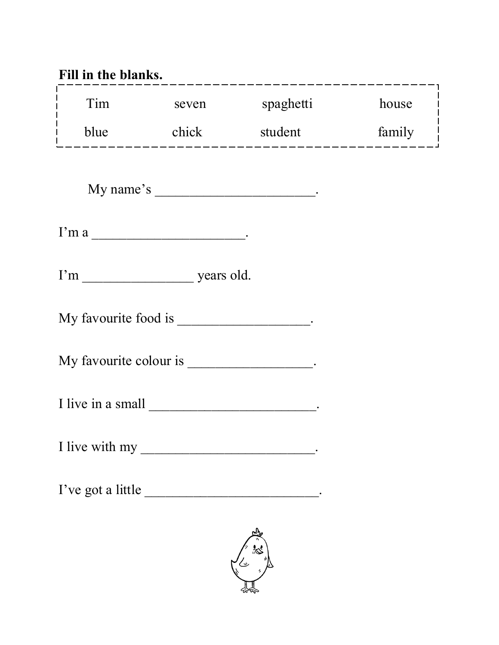| Fill in the blanks.                         |       | .___________________________                           |        |
|---------------------------------------------|-------|--------------------------------------------------------|--------|
| Tim                                         | seven | spaghetti                                              | house  |
|                                             |       | blue chick student<br>-------------------------------- | family |
|                                             |       | My name's ________________________________.            |        |
|                                             |       |                                                        |        |
|                                             |       |                                                        |        |
| My favourite food is ____________________.  |       |                                                        |        |
| My favourite colour is ___________________. |       |                                                        |        |
|                                             |       |                                                        |        |
|                                             |       |                                                        |        |
| I've got a little                           |       |                                                        |        |

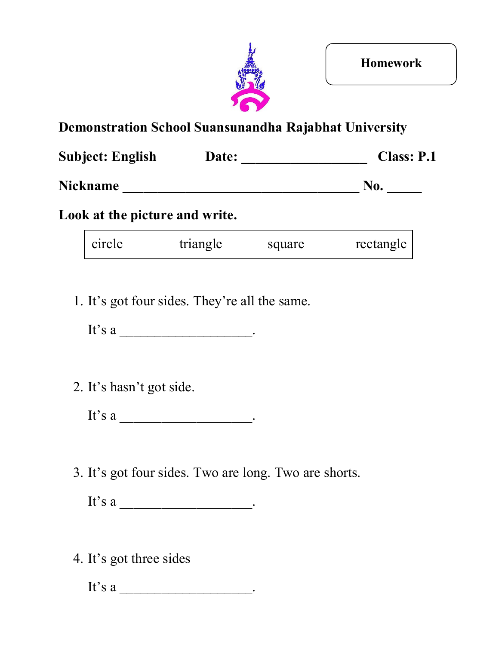

| <b>Subject: English</b> | Date: | <b>Class: P.1</b> |
|-------------------------|-------|-------------------|
| <b>Nickname</b>         |       | No.               |

#### **Look at the picture and write.**

| circle | triangle | square | rectangle |
|--------|----------|--------|-----------|
|--------|----------|--------|-----------|

1. It's got four sides. They're all the same.

It's a  $\hfill$ 

2. It's hasn't got side.

It's a  $\frac{1}{\frac{1}{\sqrt{1-\frac{1}{\sqrt{1-\frac{1}{\sqrt{1-\frac{1}{\sqrt{1-\frac{1}{\sqrt{1-\frac{1}{\sqrt{1-\frac{1}{\sqrt{1-\frac{1}{\sqrt{1-\frac{1}{\sqrt{1-\frac{1}{\sqrt{1-\frac{1}{\sqrt{1-\frac{1}{\sqrt{1-\frac{1}{\sqrt{1-\frac{1}{\sqrt{1-\frac{1}{\sqrt{1-\frac{1}{\sqrt{1-\frac{1}{\sqrt{1-\frac{1}{\sqrt{1-\frac{1}{\sqrt{1-\frac{1}{\sqrt{1-\frac{1}{\sqrt{1-\frac{1}{\sqrt{1-\frac{1}{\sqrt{1-\$ 

3. It's got four sides. Two are long. Two are shorts.

It's a  $\frac{1}{\frac{1}{\sqrt{1-\frac{1}{\sqrt{1-\frac{1}{\sqrt{1-\frac{1}{\sqrt{1-\frac{1}{\sqrt{1-\frac{1}{\sqrt{1-\frac{1}{\sqrt{1-\frac{1}{\sqrt{1-\frac{1}{\sqrt{1-\frac{1}{\sqrt{1-\frac{1}{\sqrt{1-\frac{1}{\sqrt{1-\frac{1}{\sqrt{1-\frac{1}{\sqrt{1-\frac{1}{\sqrt{1-\frac{1}{\sqrt{1-\frac{1}{\sqrt{1-\frac{1}{\sqrt{1-\frac{1}{\sqrt{1-\frac{1}{\sqrt{1-\frac{1}{\sqrt{1-\frac{1}{\sqrt{1-\frac{1}{\sqrt{1-\$ 

4. It's got three sides

It's a  $\qquad$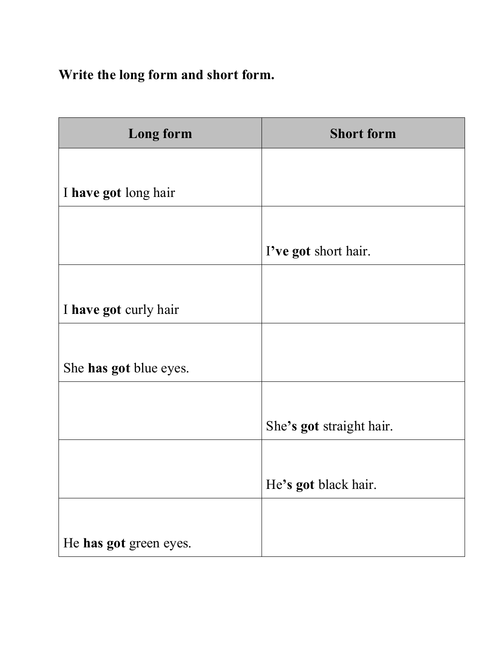### **Write the long form and short form.**

| <b>Long form</b>       | <b>Short form</b>        |
|------------------------|--------------------------|
|                        |                          |
| I have got long hair   |                          |
|                        |                          |
|                        | I've got short hair.     |
|                        |                          |
| I have got curly hair  |                          |
|                        |                          |
| She has got blue eyes. |                          |
|                        |                          |
|                        | She's got straight hair. |
|                        |                          |
|                        | He's got black hair.     |
|                        |                          |
| He has got green eyes. |                          |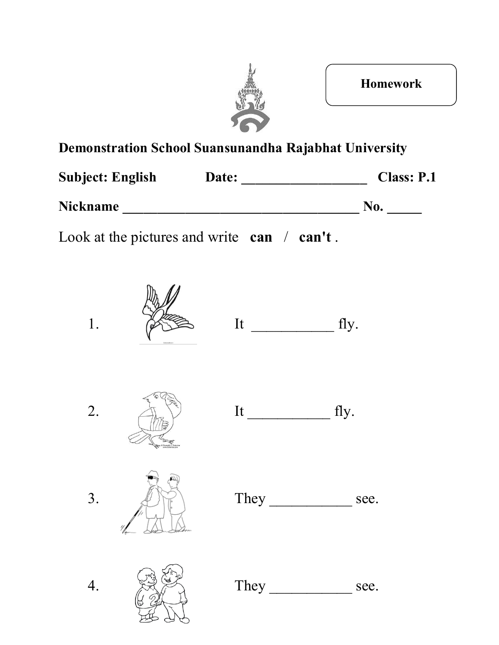

**Homework**

### **Demonstration School Suansunandha Rajabhat University**

| <b>Subject: English</b> | Date: | <b>Class: P.1</b> |
|-------------------------|-------|-------------------|
| <b>Nickname</b>         |       | No.               |

Look at the pictures and write **can** / **can't** .